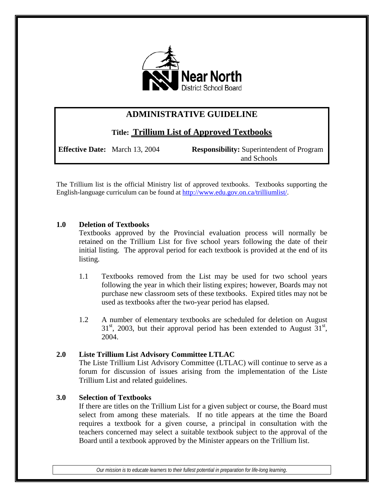

# **ADMINISTRATIVE GUIDELINE**

**Title: Trillium List of Approved Textbooks**

**Effective Date:** March 13, 2004 **Responsibility:** Superintendent of Program and Schools

The Trillium list is the official Ministry list of approved textbooks. Textbooks supporting the English-language curriculum can be found at [http://www.edu.gov.on.ca/trilliumlist/.](http://www.edu.gov.on.ca/trilliumlist/)

## **1.0 Deletion of Textbooks**

Textbooks approved by the Provincial evaluation process will normally be retained on the Trillium List for five school years following the date of their initial listing. The approval period for each textbook is provided at the end of its listing.

- 1.1 Textbooks removed from the List may be used for two school years following the year in which their listing expires; however, Boards may not purchase new classroom sets of these textbooks. Expired titles may not be used as textbooks after the two-year period has elapsed.
- 1.2 A number of elementary textbooks are scheduled for deletion on August  $31<sup>st</sup>$ , 2003, but their approval period has been extended to August  $31<sup>st</sup>$ , 2004.

# **2.0 Liste Trillium List Advisory Committee LTLAC**

The Liste Trillium List Advisory Committee (LTLAC) will continue to serve as a forum for discussion of issues arising from the implementation of the Liste Trillium List and related guidelines.

# **3.0 Selection of Textbooks**

If there are titles on the Trillium List for a given subject or course, the Board must select from among these materials. If no title appears at the time the Board requires a textbook for a given course, a principal in consultation with the teachers concerned may select a suitable textbook subject to the approval of the Board until a textbook approved by the Minister appears on the Trillium list.

*Our mission is to educate learners to their fullest potential in preparation for life-long learning.*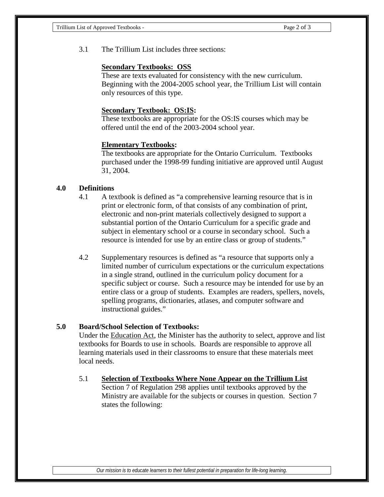3.1 The Trillium List includes three sections:

#### **Secondary Textbooks: OSS**

These are texts evaluated for consistency with the new curriculum. Beginning with the 2004-2005 school year, the Trillium List will contain only resources of this type.

#### **Secondary Textbook: OS:IS:**

These textbooks are appropriate for the OS:IS courses which may be offered until the end of the 2003-2004 school year.

#### **Elementary Textbooks:**

The textbooks are appropriate for the Ontario Curriculum. Textbooks purchased under the 1998-99 funding initiative are approved until August 31, 2004.

#### **4.0 Definitions**

- 4.1 A textbook is defined as "a comprehensive learning resource that is in print or electronic form, of that consists of any combination of print, electronic and non-print materials collectively designed to support a substantial portion of the Ontario Curriculum for a specific grade and subject in elementary school or a course in secondary school. Such a resource is intended for use by an entire class or group of students."
- 4.2 Supplementary resources is defined as "a resource that supports only a limited number of curriculum expectations or the curriculum expectations in a single strand, outlined in the curriculum policy document for a specific subject or course. Such a resource may be intended for use by an entire class or a group of students. Examples are readers, spellers, novels, spelling programs, dictionaries, atlases, and computer software and instructional guides."

#### **5.0 Board/School Selection of Textbooks:**

Under the Education Act, the Minister has the authority to select, approve and list textbooks for Boards to use in schools. Boards are responsible to approve all learning materials used in their classrooms to ensure that these materials meet local needs.

5.1 **Selection of Textbooks Where None Appear on the Trillium List** Section 7 of Regulation 298 applies until textbooks approved by the Ministry are available for the subjects or courses in question. Section 7 states the following: